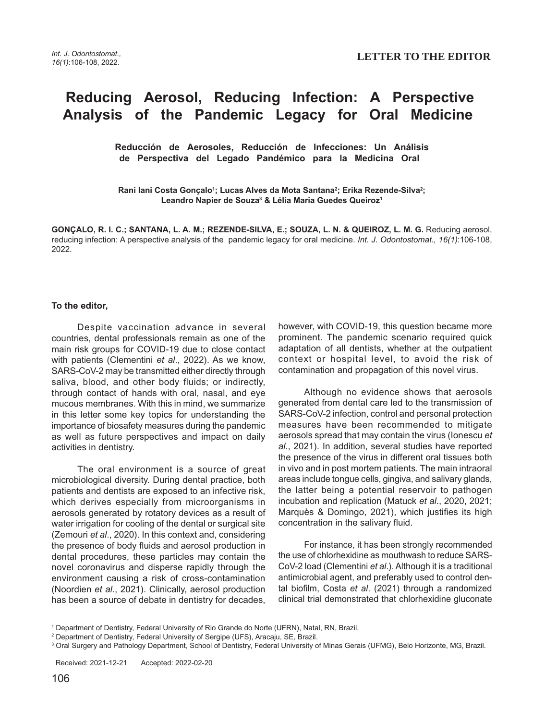## **Reducing Aerosol, Reducing Infection: A Perspective Analysis of the Pandemic Legacy for Oral Medicine**

 **Reducción de Aerosoles, Reducción de Infecciones: Un Análisis de Perspectiva del Legado Pandémico para la Medicina Oral** 

Rani lani Costa Gonçalo<sup>ı</sup>; Lucas Alves da Mota Santana<sup>2</sup>; Erika Rezende-Silva<sup>2</sup>; **Leandro Napier de Souza3 & Lélia Maria Guedes Queiroz1**

**GONÇALO, R. I. C.; SANTANA, L. A. M.; REZENDE-SILVA, E.; SOUZA, L. N. & QUEIROZ, L. M. G.** Reducing aerosol, reducing infection: A perspective analysis of the pandemic legacy for oral medicine. Int. J. Odontostomat., 16(1):106-108, 2022.

## **To the editor,**

Despite vaccination advance in several countries, dental professionals remain as one of the main risk groups for COVID-19 due to close contact with patients (Clementini et al., 2022). As we know, SARS-CoV-2 may be transmitted either directly through saliva, blood, and other body fluids; or indirectly, through contact of hands with oral, nasal, and eye mucous membranes. With this in mind, we summarize in this letter some key topics for understanding the importance of biosafety measures during the pandemic as well as future perspectives and impact on daily activities in dentistry.

The oral environment is a source of great microbiological diversity. During dental practice, both patients and dentists are exposed to an infective risk, which derives especially from microorganisms in aerosols generated by rotatory devices as a result of water irrigation for cooling of the dental or surgical site (Zemouri et al., 2020). In this context and, considering the presence of body fluids and aerosol production in dental procedures, these particles may contain the novel coronavirus and disperse rapidly through the environment causing a risk of cross-contamination (Noordien et al., 2021). Clinically, aerosol production has been a source of debate in dentistry for decades,

however, with COVID-19, this question became more prominent. The pandemic scenario required quick adaptation of all dentists, whether at the outpatient context or hospital level, to avoid the risk of contamination and propagation of this novel virus.

Although no evidence shows that aerosols generated from dental care led to the transmission of SARS-CoV-2 infection, control and personal protection measures have been recommended to mitigate aerosols spread that may contain the virus (Ionescu et al., 2021). In addition, several studies have reported the presence of the virus in different oral tissues both in vivo and in post mortem patients. The main intraoral areas include tongue cells, gingiva, and salivary glands, the latter being a potential reservoir to pathogen incubation and replication (Matuck et al., 2020, 2021; Marquès & Domingo, 2021), which justifies its high concentration in the salivary fluid.

For instance, it has been strongly recommended the use of chlorhexidine as mouthwash to reduce SARS-CoV-2 load (Clementini et al.). Although it is a traditional antimicrobial agent, and preferably used to control dental biofilm, Costa et al. (2021) through a randomized clinical trial demonstrated that chlorhexidine gluconate

<sup>1</sup> Department of Dentistry, Federal University of Rio Grande do Norte (UFRN), Natal, RN, Brazil.

<sup>&</sup>lt;sup>2</sup> Department of Dentistry, Federal University of Sergipe (UFS), Aracaju, SE, Brazil.

<sup>&</sup>lt;sup>3</sup> Oral Surgery and Pathology Department, School of Dentistry, Federal University of Minas Gerais (UFMG), Belo Horizonte, MG, Brazil.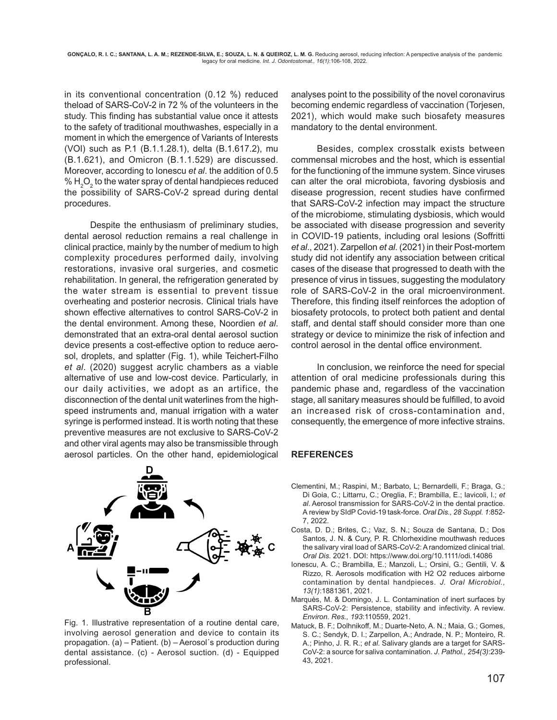in its conventional concentration (0.12 %) reduced theload of SARS-CoV-2 in 72 % of the volunteers in the study. This finding has substantial value once it attests to the safety of traditional mouthwashes, especially in a moment in which the emergence of Variants of Interests (VOI) such as P.1 (B.1.1.28.1), delta (B.1.617.2), mu (B.1.621), and Omicron (B.1.1.529) are discussed. Moreover, according to Ionescu et al. the addition of 0.5 %  $\rm H_2O_2$  to the water spray of dental handpieces reduced the possibility of SARS-CoV-2 spread during dental procedures.

Despite the enthusiasm of preliminary studies, dental aerosol reduction remains a real challenge in clinical practice, mainly by the number of medium to high complexity procedures performed daily, involving restorations, invasive oral surgeries, and cosmetic rehabilitation. In general, the refrigeration generated by the water stream is essential to prevent tissue overheating and posterior necrosis. Clinical trials have shown effective alternatives to control SARS-CoV-2 in the dental environment. Among these, Noordien et al. demonstrated that an extra-oral dental aerosol suction device presents a cost-effective option to reduce aerosol, droplets, and splatter (Fig. 1), while Teichert-Filho et al. (2020) suggest acrylic chambers as a viable alternative of use and low-cost device. Particularly, in our daily activities, we adopt as an artifice, the disconnection of the dental unit waterlines from the highspeed instruments and, manual irrigation with a water syringe is performed instead. It is worth noting that these preventive measures are not exclusive to SARS-CoV-2 and other viral agents may also be transmissible through aerosol particles. On the other hand, epidemiological



Fig. 1. Illustrative representation of a routine dental care, involving aerosol generation and device to contain its propagation. (a) – Patient. (b) – Aerosol´s production during dental assistance. (c) - Aerosol suction. (d) - Equipped professional.

analyses point to the possibility of the novel coronavirus becoming endemic regardless of vaccination (Torjesen, 2021), which would make such biosafety measures mandatory to the dental environment.

Besides, complex crosstalk exists between commensal microbes and the host, which is essential for the functioning of the immune system. Since viruses can alter the oral microbiota, favoring dysbiosis and disease progression, recent studies have confirmed that SARS-CoV-2 infection may impact the structure of the microbiome, stimulating dysbiosis, which would be associated with disease progression and severity in COVID-19 patients, including oral lesions (Soffritti et al., 2021). Zarpellon et al. (2021) in their Post-mortem study did not identify any association between critical cases of the disease that progressed to death with the presence of virus in tissues, suggesting the modulatory role of SARS-CoV-2 in the oral microenvironment. Therefore, this finding itself reinforces the adoption of biosafety protocols, to protect both patient and dental staff, and dental staff should consider more than one strategy or device to minimize the risk of infection and control aerosol in the dental office environment.

In conclusion, we reinforce the need for special attention of oral medicine professionals during this pandemic phase and, regardless of the vaccination stage, all sanitary measures should be fulfilled, to avoid an increased risk of cross-contamination and, consequently, the emergence of more infective strains.

## **REFERENCES**

- Clementini, M.; Raspini, M.; Barbato, L; Bernardelli, F.; Braga, G.; Di Goia, C.; Littarru, C.; Oreglia, F.; Brambilla, E.; Iavicoli, I.; et al. Aerosol transmission for SARS-CoV-2 in the dental practice. A review by SIdP Covid-19 task-force. Oral Dis., 28 Suppl. 1:852- 7, 2022.
- Costa, D. D.; Brites, C.; Vaz, S. N.; Souza de Santana, D.; Dos Santos, J. N. & Cury, P. R. Chlorhexidine mouthwash reduces the salivary viral load of SARS-CoV-2: A randomized clinical trial. Oral Dis. 2021. DOI: https://www.doi.org/10.1111/odi.14086
- Ionescu, A. C.; Brambilla, E.; Manzoli, L.; Orsini, G.; Gentili, V. & Rizzo, R. Aerosols modification with H2 O2 reduces airborne contamination by dental handpieces. J. Oral Microbiol., 13(1):1881361, 2021.
- Marquès, M. & Domingo, J. L. Contamination of inert surfaces by SARS-CoV-2: Persistence, stability and infectivity. A review. Environ. Res., 193:110559, 2021.
- Matuck, B. F.; Dolhnikoff, M.; Duarte-Neto, A. N.; Maia, G.; Gomes, S. C.; Sendyk, D. I.; Zarpellon, A.; Andrade, N. P.; Monteiro, R. A.; Pinho, J. R. R.; et al. Salivary glands are a target for SARS-CoV-2: a source for saliva contamination. J. Pathol., 254(3):239- 43, 2021.